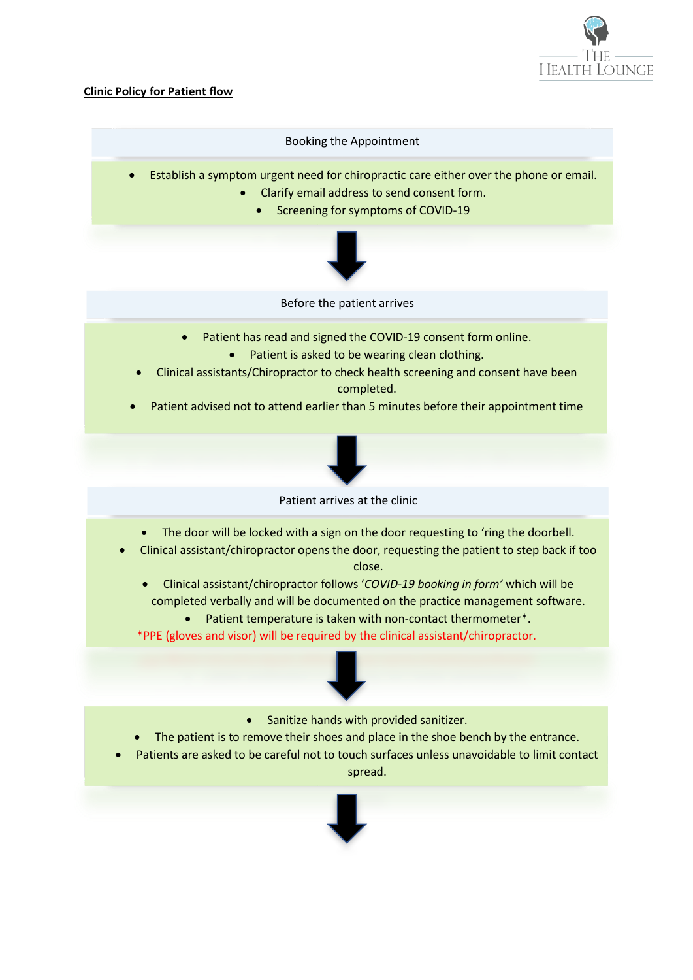

## **Clinic Policy for Patient flow**

## Booking the Appointment

- Establish a symptom urgent need for chiropractic care either over the phone or email.
	- Clarify email address to send consent form.
		- Screening for symptoms of COVID-19



Before the patient arrives

- Patient has read and signed the COVID-19 consent form online.
	- Patient is asked to be wearing clean clothing.
- Clinical assistants/Chiropractor to check health screening and consent have been completed.
- Patient advised not to attend earlier than 5 minutes before their appointment time



Patient arrives at the clinic

- The door will be locked with a sign on the door requesting to 'ring the doorbell.
- Clinical assistant/chiropractor opens the door, requesting the patient to step back if too close.
	- Clinical assistant/chiropractor follows '*COVID-19 booking in form'* which will be completed verbally and will be documented on the practice management software.
		- Patient temperature is taken with non-contact thermometer\*.

\*PPE (gloves and visor) will be required by the clinical assistant/chiropractor.



- Sanitize hands with provided sanitizer.
- The patient is to remove their shoes and place in the shoe bench by the entrance.
- Patients are asked to be careful not to touch surfaces unless unavoidable to limit contact spread.